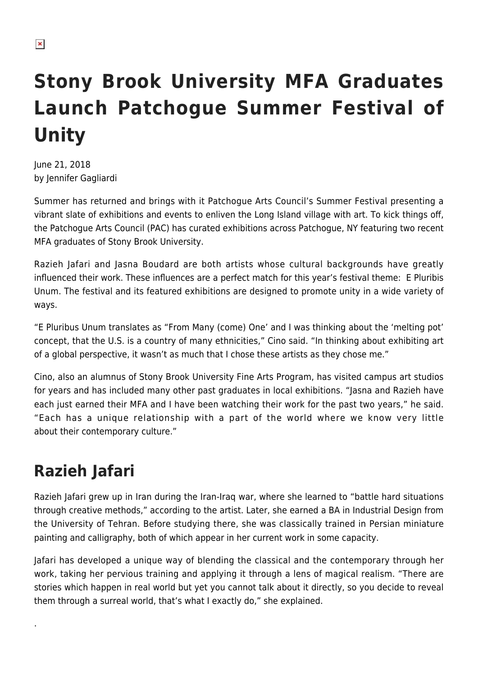## **Stony Brook University MFA Graduates Launch Patchogue Summer Festival of Unity**

June 21, 2018 by Jennifer Gagliardi

Summer has returned and brings with it Patchogue Arts Council's Summer Festival presenting a vibrant slate of exhibitions and events to enliven the Long Island village with art. To kick things off, the Patchogue Arts Council (PAC) has curated exhibitions across Patchogue, NY featuring two recent MFA graduates of Stony Brook University.

Razieh Jafari and Jasna Boudard are both artists whose cultural backgrounds have greatly influenced their work. These influences are a perfect match for this year's festival theme: E Pluribis Unum. The festival and its featured exhibitions are designed to promote unity in a wide variety of ways.

"E Pluribus Unum translates as "From Many (come) One' and I was thinking about the 'melting pot' concept, that the U.S. is a country of many ethnicities," Cino said. "In thinking about exhibiting art of a global perspective, it wasn't as much that I chose these artists as they chose me."

Cino, also an alumnus of Stony Brook University Fine Arts Program, has visited campus art studios for years and has included many other past graduates in local exhibitions. "Jasna and Razieh have each just earned their MFA and I have been watching their work for the past two years," he said. "Each has a unique relationship with a part of the world where we know very little about their contemporary culture."

## **Razieh Jafari**

.

Razieh Jafari grew up in Iran during the Iran-Iraq war, where she learned to "battle hard situations through creative methods," according to the artist. Later, she earned a BA in Industrial Design from the University of Tehran. Before studying there, she was classically trained in Persian miniature painting and calligraphy, both of which appear in her current work in some capacity.

Jafari has developed a unique way of blending the classical and the contemporary through her work, taking her pervious training and applying it through a lens of magical realism. "There are stories which happen in real world but yet you cannot talk about it directly, so you decide to reveal them through a surreal world, that's what I exactly do," she explained.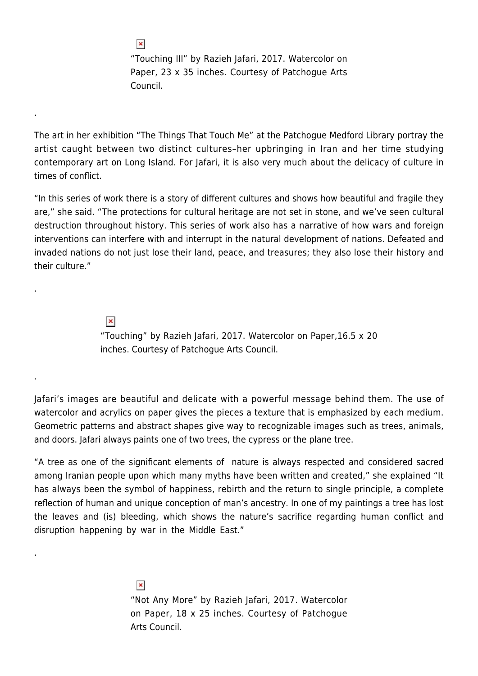"Touching III" by Razieh Jafari, 2017. 
Watercolor on Paper
, 23 x 35 inches. Courtesy of Patchogue Arts Council.

The art in her exhibition "The Things That Touch Me" at the Patchogue Medford Library portray the artist caught between two distinct cultures–her upbringing in Iran and her time studying contemporary art on Long Island. For Jafari, it is also very much about the delicacy of culture in times of conflict.

"In this series of work there is a story of different cultures and shows how beautiful and fragile they are," she said. "The protections for cultural heritage are not set in stone, and we've seen cultural destruction throughout history. This series of work also has a narrative of how wars and foreign interventions can interfere with and interrupt in the natural development of nations. Defeated and invaded nations do not just lose their land, peace, and treasures; they also lose their history and their culture."

> $\pmb{\times}$ "Touching" by Razieh Jafari, 2017. Watercolor on Paper
> ,16.5 x 20 inches. Courtesy of Patchogue Arts Council.

Jafari's images are beautiful and delicate with a powerful message behind them. The use of watercolor and acrylics on paper gives the pieces a texture that is emphasized by each medium. Geometric patterns and abstract shapes give way to recognizable images such as trees, animals, and doors. Jafari always paints one of two trees, the cypress or the plane tree.

"A tree as one of the significant elements of nature is always respected and considered sacred among Iranian people upon which many myths have been written and created," she explained "It has always been the symbol of happiness, rebirth and the return to single principle, a complete reflection of human and unique conception of man's ancestry. In one of my paintings a tree has lost the leaves and (is) bleeding, which shows the nature's sacrifice regarding human conflict and disruption happening by war in the Middle East."

> $\pmb{\times}$ "Not Any More" by Razieh Jafari, 2017
> . Watercolor on Paper
> , 18 x 25 inches. Courtesy of Patchogue Arts Council.

 $\pmb{\times}$ 

.

.

.

.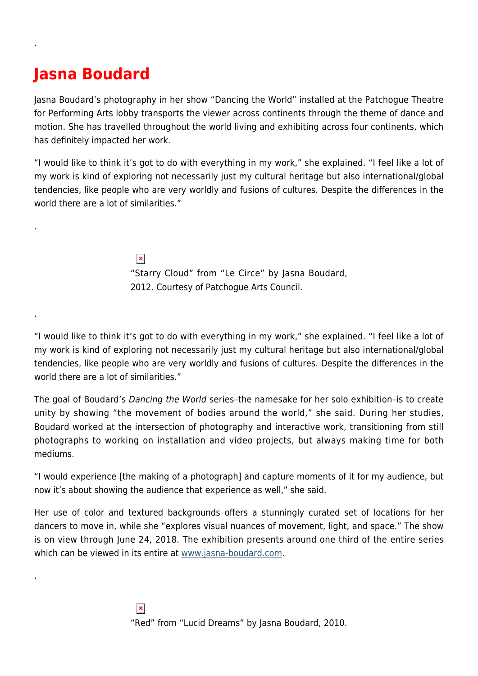## **Jasna Boudard**

.

.

.

.

Jasna Boudard's photography in her show "Dancing the World" installed at the Patchogue Theatre for Performing Arts lobby transports the viewer across continents through the theme of dance and motion. She has travelled throughout the world living and exhibiting across four continents, which has definitely impacted her work.

"I would like to think it's got to do with everything in my work," she explained. "I feel like a lot of my work is kind of exploring not necessarily just my cultural heritage but also international/global tendencies, like people who are very worldly and fusions of cultures. Despite the differences in the world there are a lot of similarities."

> $\pmb{\times}$ "Starry Cloud" from "Le Circe" by Jasna Boudard, 2012. Courtesy of Patchogue Arts Council.

"I would like to think it's got to do with everything in my work," she explained. "I feel like a lot of my work is kind of exploring not necessarily just my cultural heritage but also international/global tendencies, like people who are very worldly and fusions of cultures. Despite the differences in the world there are a lot of similarities."

The goal of Boudard's Dancing the World series–the namesake for her solo exhibition–is to create unity by showing "the movement of bodies around the world," she said. During her studies, Boudard worked at the intersection of photography and interactive work, transitioning from still photographs to working on installation and video projects, but always making time for both mediums.

"I would experience [the making of a photograph] and capture moments of it for my audience, but now it's about showing the audience that experience as well," she said.

Her use of color and textured backgrounds offers a stunningly curated set of locations for her dancers to move in, while she "explores visual nuances of movement, light, and space." The show is on view through June 24, 2018. The exhibition presents around one third of the entire series which can be viewed in its entire at [www.jasna-boudard.com.](http://jasna-boudard.com/)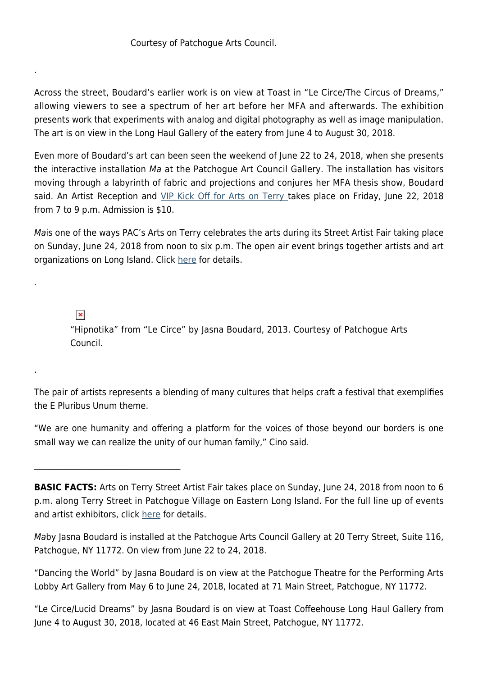## Courtesy of Patchogue Arts Council.

Across the street, Boudard's earlier work is on view at Toast in "Le Circe/The Circus of Dreams," allowing viewers to see a spectrum of her art before her MFA and afterwards. The exhibition presents work that experiments with analog and digital photography as well as image manipulation. The art is on view in the Long Haul Gallery of the eatery from June 4 to August 30, 2018.

Even more of Boudard's art can been seen the weekend of June 22 to 24, 2018, when she presents the interactive installation Ma at the Patchogue Art Council Gallery. The installation has visitors moving through a labyrinth of fabric and projections and conjures her MFA thesis show, Boudard said. An Artist Reception and [VIP Kick Off for Arts on Terry t](https://patchoguearts.org/arts-on-terry-discover-patchogue-vip-launch-party/)akes place on Friday, June 22, 2018 from 7 to 9 p.m. Admission is \$10.

Mais one of the ways PAC's Arts on Terry celebrates the arts during its Street Artist Fair taking place on Sunday, June 24, 2018 from noon to six p.m. The open air event brings together artists and art organizations on Long Island. Click [here](https://patchoguearts.org/arts-on-terry-3/) for details.

 $\pmb{\times}$ 

 $\mathcal{L}_\text{max}$  , where  $\mathcal{L}_\text{max}$  is the set of the set of the set of the set of the set of the set of the set of the set of the set of the set of the set of the set of the set of the set of the set of the set of the se

.

.

.

"Hipnotika" from "Le Circe" by Jasna Boudard, 2013. Courtesy of Patchogue Arts Council.

The pair of artists represents a blending of many cultures that helps craft a festival that exemplifies the E Pluribus Unum theme.

"We are one humanity and offering a platform for the voices of those beyond our borders is one small way we can realize the unity of our human family," Cino said.

**BASIC FACTS:** Arts on Terry Street Artist Fair takes place on Sunday, June 24, 2018 from noon to 6 p.m. along Terry Street in Patchogue Village on Eastern Long Island. For the full line up of events and artist exhibitors, click [here](https://patchoguearts.org/arts-on-terry-3/) for details.

Maby Jasna Boudard is installed at the Patchogue Arts Council Gallery at 20 Terry Street, Suite 116, Patchogue, NY 11772. On view from June 22 to 24, 2018.

"Dancing the World" by Jasna Boudard is on view at the Patchogue Theatre for the Performing Arts Lobby Art Gallery from May 6 to June 24, 2018, located at 71 Main Street, Patchogue, NY 11772.

"Le Circe/Lucid Dreams" by Jasna Boudard is on view at Toast Coffeehouse Long Haul Gallery from June 4 to August 30, 2018, located at 46 East Main Street, Patchogue, NY 11772.